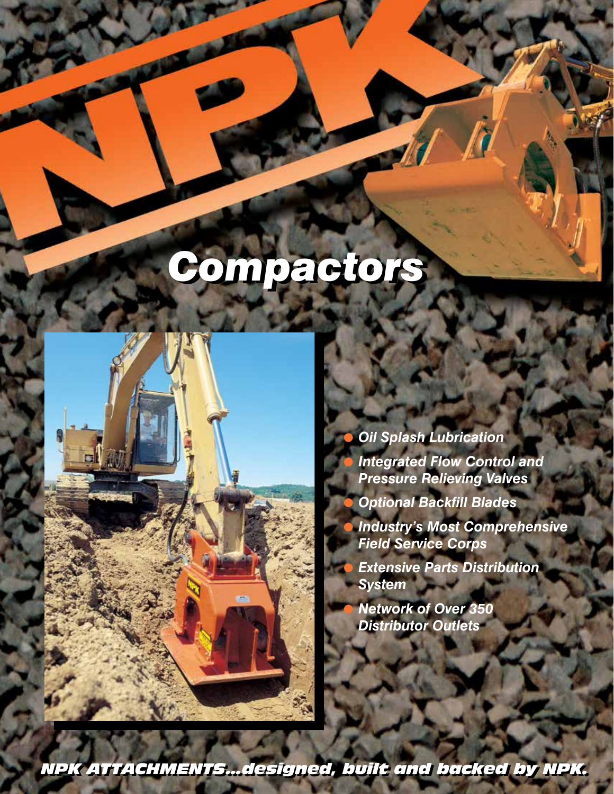# *Compactors Compactors*



! *Oil Splash Lubrication* ! *Integrated Flow Control and Pressure Relieving Valves*

! *Optional Backfill Blades* ! *Industry's Most Comprehensive Field Service Corps*

! *Extensive Parts Distribution System*

! *Network of Over 350 Distributor Outlets*

*NPK A NPK ATTTACHMENT TACHMENTSS......designed, built and backed by NPK. designed, built and backed by NPK.*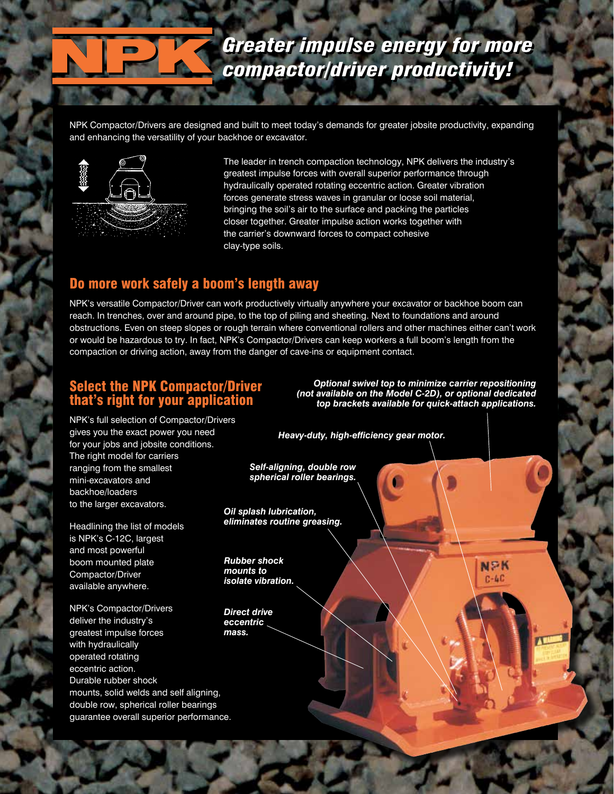## *Greater impulse energy for more Greater impulse energy for more compactor/driver productivity! compactor/driver productivity!*

NPK Compactor/Drivers are designed and built to meet today's demands for greater jobsite productivity, expanding and enhancing the versatility of your backhoe or excavator.



The leader in trench compaction technology, NPK delivers the industry's greatest impulse forces with overall superior performance through hydraulically operated rotating eccentric action. Greater vibration forces generate stress waves in granular or loose soil material, bringing the soil's air to the surface and packing the particles closer together. Greater impulse action works together with the carrier's downward forces to compact cohesive clay-type soils.

## Do more work safely a boom's length away

NPK's versatile Compactor/Driver can work productively virtually anywhere your excavator or backhoe boom can reach. In trenches, over and around pipe, to the top of piling and sheeting. Next to foundations and around obstructions. Even on steep slopes or rough terrain where conventional rollers and other machines either can't work or would be hazardous to try. In fact, NPK's Compactor/Drivers can keep workers a full boom's length from the compaction or driving action, away from the danger of cave-ins or equipment contact.

### Select the NPK Compactor/Driver that's right for your application

*Optional swivel top to minimize carrier repositioning (not available on the Model C-2D), or optional dedicated top brackets available for quick-attach applications.*

> **NPK**  $C - 4C$

NPK's full selection of Compactor/Drivers gives you the exact power you need for your jobs and jobsite conditions. The right model for carriers ranging from the smallest mini-excavators and backhoe/loaders to the larger excavators.

Headlining the list of models is NPK's C-12C, largest and most powerful boom mounted plate Compactor/Driver available anywhere.

NPK's Compactor/Drivers deliver the industry's greatest impulse forces with hydraulically operated rotating eccentric action. Durable rubber shock mounts, solid welds and self aligning, double row, spherical roller bearings guarantee overall superior performance. *Heavy-duty, high-efficiency gear motor.*

*Self-aligning, double row spherical roller bearings.*

*Oil splash lubrication, eliminates routine greasing.*

*Rubber shock mounts to isolate vibration.*

*Direct drive eccentric mass.*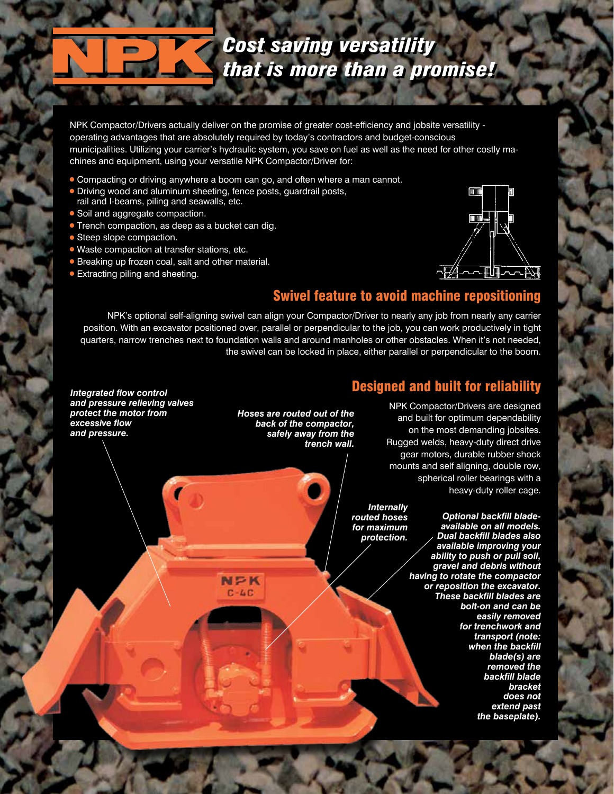## *Cost saving versatility Cost saving versatility that is more than a promise! that is more than a promise!*

NPK Compactor/Drivers actually deliver on the promise of greater cost-efficiency and jobsite versatility operating advantages that are absolutely required by today's contractors and budget-conscious municipalities. Utilizing your carrier's hydraulic system, you save on fuel as well as the need for other costly machines and equipment, using your versatile NPK Compactor/Driver for:

! Compacting or driving anywhere a boom can go, and often where a man cannot.

 $N \geq K$  $C - L C$ 

- **.** Driving wood and aluminum sheeting, fence posts, guardrail posts,
- rail and I-beams, piling and seawalls, etc.
- Soil and aggregate compaction.
- **Trench compaction, as deep as a bucket can dig.**
- **Steep slope compaction.**
- ! Waste compaction at transfer stations, etc.
- **Breaking up frozen coal, salt and other material.**
- **Extracting piling and sheeting.**



## Swivel feature to avoid machine repositioning

NPK's optional self-aligning swivel can align your Compactor/Driver to nearly any job from nearly any carrier position. With an excavator positioned over, parallel or perpendicular to the job, you can work productively in tight quarters, narrow trenches next to foundation walls and around manholes or other obstacles. When it's not needed, the swivel can be locked in place, either parallel or perpendicular to the boom.

### Designed and built for reliability

*Integrated flow control and pressure relieving valves protect the motor from excessive flow and pressure.*

*Hoses are routed out of the back of the compactor, safely away from the trench wall.*

NPK Compactor/Drivers are designed and built for optimum dependability on the most demanding jobsites. Rugged welds, heavy-duty direct drive gear motors, durable rubber shock mounts and self aligning, double row, spherical roller bearings with a heavy-duty roller cage.

*Internally routed hoses for maximum protection.*

*Optional backfill bladeavailable on all models. Dual backfill blades also available improving your ability to push or pull soil, gravel and debris without having to rotate the compactor or reposition the excavator. These backfill blades are bolt-on and can be easily removed for trenchwork and transport (note: when the backfill blade(s) are removed the backfill blade bracket does not extend past the baseplate).*